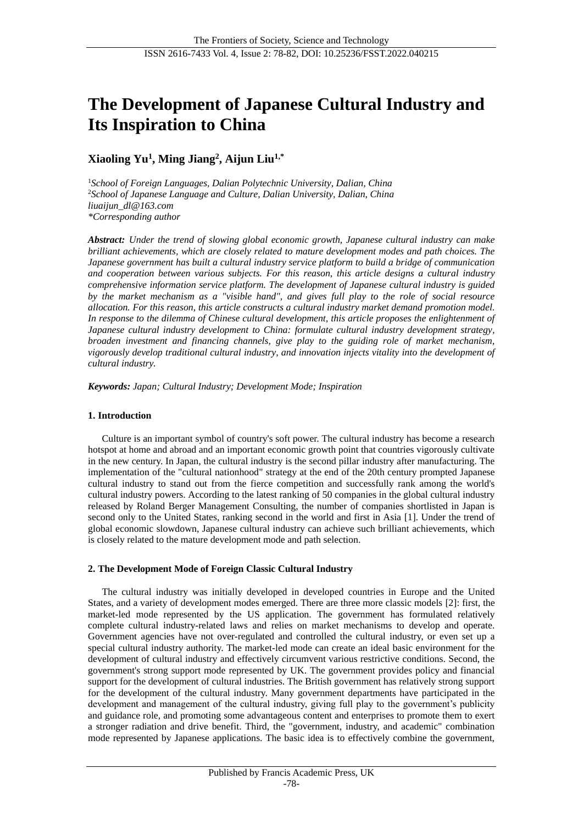# **The Development of Japanese Cultural Industry and Its Inspiration to China**

**Xiaoling Yu<sup>1</sup> , Ming Jiang<sup>2</sup> , Aijun Liu1,\***

<sup>1</sup>*School of Foreign Languages, Dalian Polytechnic University, Dalian, China* <sup>2</sup>*School of Japanese Language and Culture, Dalian University, Dalian, China liuaijun\_dl@163.com \*Corresponding author*

*Abstract: Under the trend of slowing global economic growth, Japanese cultural industry can make brilliant achievements, which are closely related to mature development modes and path choices. The Japanese government has built a cultural industry service platform to build a bridge of communication and cooperation between various subjects. For this reason, this article designs a cultural industry comprehensive information service platform. The development of Japanese cultural industry is guided by the market mechanism as a "visible hand", and gives full play to the role of social resource allocation. For this reason, this article constructs a cultural industry market demand promotion model. In response to the dilemma of Chinese cultural development, this article proposes the enlightenment of Japanese cultural industry development to China: formulate cultural industry development strategy, broaden investment and financing channels, give play to the guiding role of market mechanism, vigorously develop traditional cultural industry, and innovation injects vitality into the development of cultural industry.*

*Keywords: Japan; Cultural Industry; Development Mode; Inspiration*

# **1. Introduction**

Culture is an important symbol of country's soft power. The cultural industry has become a research hotspot at home and abroad and an important economic growth point that countries vigorously cultivate in the new century. In Japan, the cultural industry is the second pillar industry after manufacturing. The implementation of the "cultural nationhood" strategy at the end of the 20th century prompted Japanese cultural industry to stand out from the fierce competition and successfully rank among the world's cultural industry powers. According to the latest ranking of 50 companies in the global cultural industry released by Roland Berger Management Consulting, the number of companies shortlisted in Japan is second only to the United States, ranking second in the world and first in Asia [1]. Under the trend of global economic slowdown, Japanese cultural industry can achieve such brilliant achievements, which is closely related to the mature development mode and path selection.

# **2. The Development Mode of Foreign Classic Cultural Industry**

The cultural industry was initially developed in developed countries in Europe and the United States, and a variety of development modes emerged. There are three more classic models [2]: first, the market-led mode represented by the US application. The government has formulated relatively complete cultural industry-related laws and relies on market mechanisms to develop and operate. Government agencies have not over-regulated and controlled the cultural industry, or even set up a special cultural industry authority. The market-led mode can create an ideal basic environment for the development of cultural industry and effectively circumvent various restrictive conditions. Second, the government's strong support mode represented by UK. The government provides policy and financial support for the development of cultural industries. The British government has relatively strong support for the development of the cultural industry. Many government departments have participated in the development and management of the cultural industry, giving full play to the government's publicity and guidance role, and promoting some advantageous content and enterprises to promote them to exert a stronger radiation and drive benefit. Third, the "government, industry, and academic" combination mode represented by Japanese applications. The basic idea is to effectively combine the government,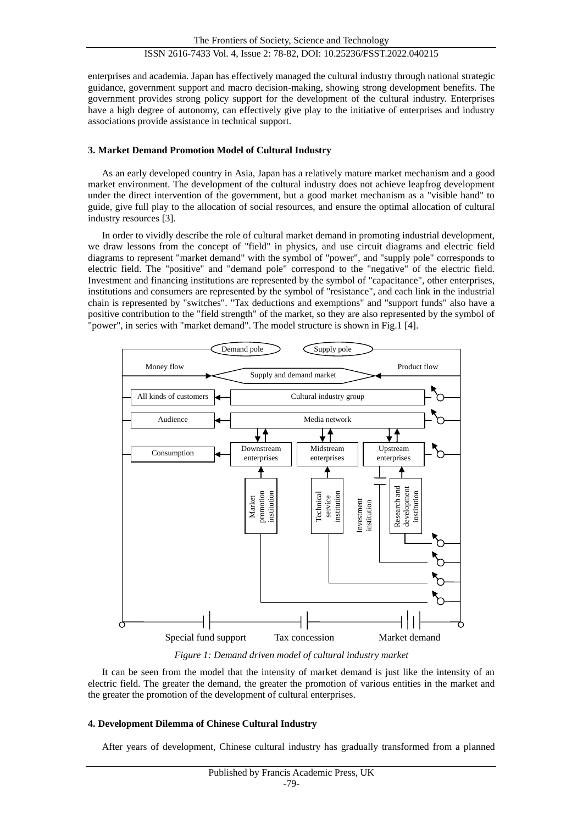enterprises and academia. Japan has effectively managed the cultural industry through national strategic guidance, government support and macro decision-making, showing strong development benefits. The government provides strong policy support for the development of the cultural industry. Enterprises have a high degree of autonomy, can effectively give play to the initiative of enterprises and industry associations provide assistance in technical support.

# **3. Market Demand Promotion Model of Cultural Industry**

As an early developed country in Asia, Japan has a relatively mature market mechanism and a good market environment. The development of the cultural industry does not achieve leapfrog development under the direct intervention of the government, but a good market mechanism as a "visible hand" to guide, give full play to the allocation of social resources, and ensure the optimal allocation of cultural industry resources [3].

In order to vividly describe the role of cultural market demand in promoting industrial development, we draw lessons from the concept of "field" in physics, and use circuit diagrams and electric field diagrams to represent "market demand" with the symbol of "power", and "supply pole" corresponds to electric field. The "positive" and "demand pole" correspond to the "negative" of the electric field. Investment and financing institutions are represented by the symbol of "capacitance", other enterprises, institutions and consumers are represented by the symbol of "resistance", and each link in the industrial chain is represented by "switches". "Tax deductions and exemptions" and "support funds" also have a positive contribution to the "field strength" of the market, so they are also represented by the symbol of "power", in series with "market demand". The model structure is shown in Fig.1 [4].



*Figure 1: Demand driven model of cultural industry market*

It can be seen from the model that the intensity of market demand is just like the intensity of an electric field. The greater the demand, the greater the promotion of various entities in the market and the greater the promotion of the development of cultural enterprises.

# **4. Development Dilemma of Chinese Cultural Industry**

After years of development, Chinese cultural industry has gradually transformed from a planned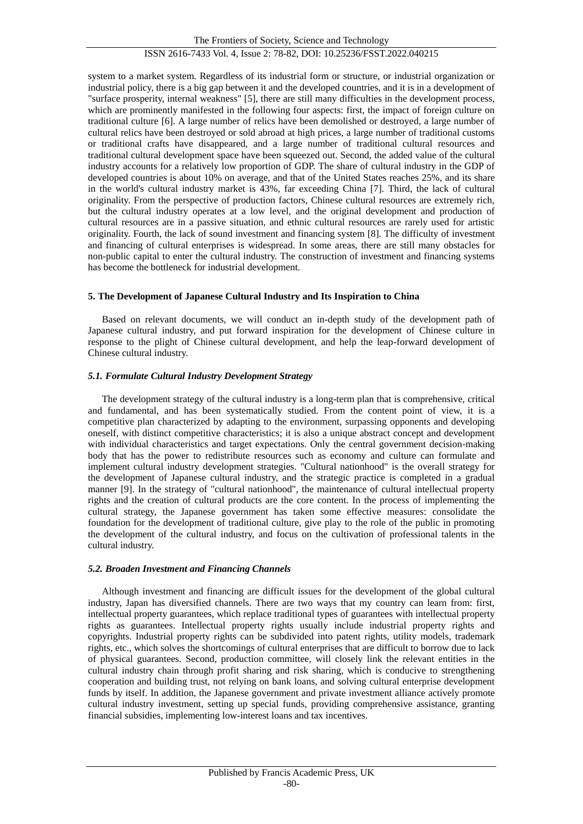The Frontiers of Society, Science and Technology ISSN 2616-7433 Vol. 4, Issue 2: 78-82, DOI: 10.25236/FSST.2022.040215

system to a market system. Regardless of its industrial form or structure, or industrial organization or industrial policy, there is a big gap between it and the developed countries, and it is in a development of "surface prosperity, internal weakness" [5], there are still many difficulties in the development process, which are prominently manifested in the following four aspects: first, the impact of foreign culture on traditional culture [6]. A large number of relics have been demolished or destroyed, a large number of cultural relics have been destroyed or sold abroad at high prices, a large number of traditional customs or traditional crafts have disappeared, and a large number of traditional cultural resources and traditional cultural development space have been squeezed out. Second, the added value of the cultural industry accounts for a relatively low proportion of GDP. The share of cultural industry in the GDP of developed countries is about 10% on average, and that of the United States reaches 25%, and its share in the world's cultural industry market is 43%, far exceeding China [7]. Third, the lack of cultural originality. From the perspective of production factors, Chinese cultural resources are extremely rich, but the cultural industry operates at a low level, and the original development and production of cultural resources are in a passive situation, and ethnic cultural resources are rarely used for artistic originality. Fourth, the lack of sound investment and financing system [8]. The difficulty of investment and financing of cultural enterprises is widespread. In some areas, there are still many obstacles for non-public capital to enter the cultural industry. The construction of investment and financing systems has become the bottleneck for industrial development.

# **5. The Development of Japanese Cultural Industry and Its Inspiration to China**

Based on relevant documents, we will conduct an in-depth study of the development path of Japanese cultural industry, and put forward inspiration for the development of Chinese culture in response to the plight of Chinese cultural development, and help the leap-forward development of Chinese cultural industry.

# *5.1. Formulate Cultural Industry Development Strategy*

The development strategy of the cultural industry is a long-term plan that is comprehensive, critical and fundamental, and has been systematically studied. From the content point of view, it is a competitive plan characterized by adapting to the environment, surpassing opponents and developing oneself, with distinct competitive characteristics; it is also a unique abstract concept and development with individual characteristics and target expectations. Only the central government decision-making body that has the power to redistribute resources such as economy and culture can formulate and implement cultural industry development strategies. "Cultural nationhood" is the overall strategy for the development of Japanese cultural industry, and the strategic practice is completed in a gradual manner [9]. In the strategy of "cultural nationhood", the maintenance of cultural intellectual property rights and the creation of cultural products are the core content. In the process of implementing the cultural strategy, the Japanese government has taken some effective measures: consolidate the foundation for the development of traditional culture, give play to the role of the public in promoting the development of the cultural industry, and focus on the cultivation of professional talents in the cultural industry.

# *5.2. Broaden Investment and Financing Channels*

Although investment and financing are difficult issues for the development of the global cultural industry, Japan has diversified channels. There are two ways that my country can learn from: first, intellectual property guarantees, which replace traditional types of guarantees with intellectual property rights as guarantees. Intellectual property rights usually include industrial property rights and copyrights. Industrial property rights can be subdivided into patent rights, utility models, trademark rights, etc., which solves the shortcomings of cultural enterprises that are difficult to borrow due to lack of physical guarantees. Second, production committee, will closely link the relevant entities in the cultural industry chain through profit sharing and risk sharing, which is conducive to strengthening cooperation and building trust, not relying on bank loans, and solving cultural enterprise development funds by itself. In addition, the Japanese government and private investment alliance actively promote cultural industry investment, setting up special funds, providing comprehensive assistance, granting financial subsidies, implementing low-interest loans and tax incentives.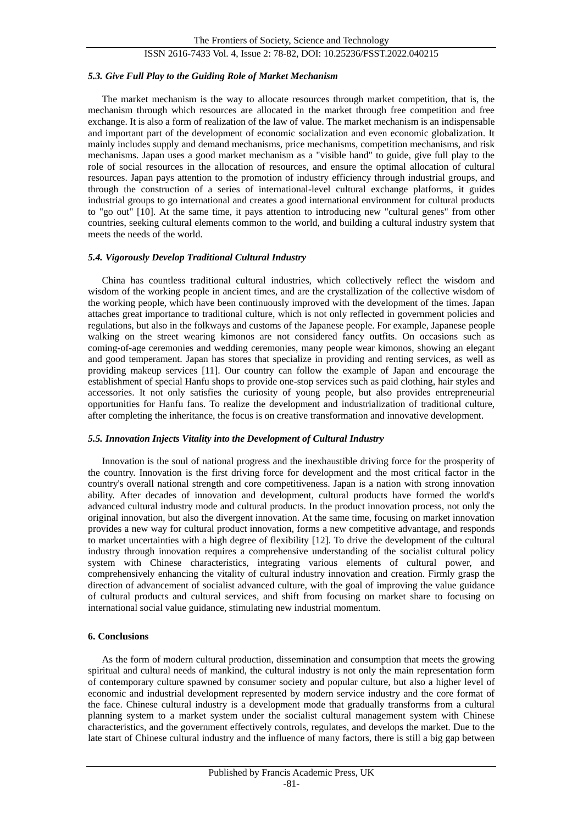# ISSN 2616-7433 Vol. 4, Issue 2: 78-82, DOI: 10.25236/FSST.2022.040215

#### *5.3. Give Full Play to the Guiding Role of Market Mechanism*

The market mechanism is the way to allocate resources through market competition, that is, the mechanism through which resources are allocated in the market through free competition and free exchange. It is also a form of realization of the law of value. The market mechanism is an indispensable and important part of the development of economic socialization and even economic globalization. It mainly includes supply and demand mechanisms, price mechanisms, competition mechanisms, and risk mechanisms. Japan uses a good market mechanism as a "visible hand" to guide, give full play to the role of social resources in the allocation of resources, and ensure the optimal allocation of cultural resources. Japan pays attention to the promotion of industry efficiency through industrial groups, and through the construction of a series of international-level cultural exchange platforms, it guides industrial groups to go international and creates a good international environment for cultural products to "go out" [10]. At the same time, it pays attention to introducing new "cultural genes" from other countries, seeking cultural elements common to the world, and building a cultural industry system that meets the needs of the world.

#### *5.4. Vigorously Develop Traditional Cultural Industry*

China has countless traditional cultural industries, which collectively reflect the wisdom and wisdom of the working people in ancient times, and are the crystallization of the collective wisdom of the working people, which have been continuously improved with the development of the times. Japan attaches great importance to traditional culture, which is not only reflected in government policies and regulations, but also in the folkways and customs of the Japanese people. For example, Japanese people walking on the street wearing kimonos are not considered fancy outfits. On occasions such as coming-of-age ceremonies and wedding ceremonies, many people wear kimonos, showing an elegant and good temperament. Japan has stores that specialize in providing and renting services, as well as providing makeup services [11]. Our country can follow the example of Japan and encourage the establishment of special Hanfu shops to provide one-stop services such as paid clothing, hair styles and accessories. It not only satisfies the curiosity of young people, but also provides entrepreneurial opportunities for Hanfu fans. To realize the development and industrialization of traditional culture, after completing the inheritance, the focus is on creative transformation and innovative development.

#### *5.5. Innovation Injects Vitality into the Development of Cultural Industry*

Innovation is the soul of national progress and the inexhaustible driving force for the prosperity of the country. Innovation is the first driving force for development and the most critical factor in the country's overall national strength and core competitiveness. Japan is a nation with strong innovation ability. After decades of innovation and development, cultural products have formed the world's advanced cultural industry mode and cultural products. In the product innovation process, not only the original innovation, but also the divergent innovation. At the same time, focusing on market innovation provides a new way for cultural product innovation, forms a new competitive advantage, and responds to market uncertainties with a high degree of flexibility [12]. To drive the development of the cultural industry through innovation requires a comprehensive understanding of the socialist cultural policy system with Chinese characteristics, integrating various elements of cultural power, and comprehensively enhancing the vitality of cultural industry innovation and creation. Firmly grasp the direction of advancement of socialist advanced culture, with the goal of improving the value guidance of cultural products and cultural services, and shift from focusing on market share to focusing on international social value guidance, stimulating new industrial momentum.

# **6. Conclusions**

As the form of modern cultural production, dissemination and consumption that meets the growing spiritual and cultural needs of mankind, the cultural industry is not only the main representation form of contemporary culture spawned by consumer society and popular culture, but also a higher level of economic and industrial development represented by modern service industry and the core format of the face. Chinese cultural industry is a development mode that gradually transforms from a cultural planning system to a market system under the socialist cultural management system with Chinese characteristics, and the government effectively controls, regulates, and develops the market. Due to the late start of Chinese cultural industry and the influence of many factors, there is still a big gap between